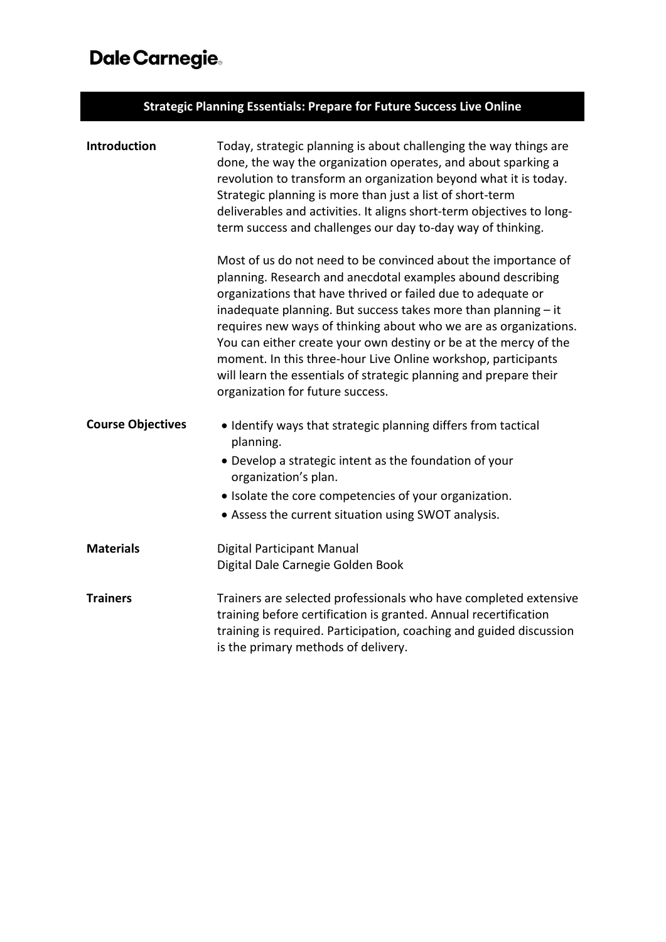## Dale Carnegie.

| <b>Strategic Planning Essentials: Prepare for Future Success Live Online</b> |                                                                                                                                                                                                                                                                                                                                                                                                                                                                                                                                              |  |
|------------------------------------------------------------------------------|----------------------------------------------------------------------------------------------------------------------------------------------------------------------------------------------------------------------------------------------------------------------------------------------------------------------------------------------------------------------------------------------------------------------------------------------------------------------------------------------------------------------------------------------|--|
| Introduction                                                                 | Today, strategic planning is about challenging the way things are<br>done, the way the organization operates, and about sparking a<br>revolution to transform an organization beyond what it is today.<br>Strategic planning is more than just a list of short-term<br>deliverables and activities. It aligns short-term objectives to long-<br>term success and challenges our day to-day way of thinking.<br>Most of us do not need to be convinced about the importance of<br>planning. Research and anecdotal examples abound describing |  |
|                                                                              | organizations that have thrived or failed due to adequate or<br>inadequate planning. But success takes more than planning - it<br>requires new ways of thinking about who we are as organizations.<br>You can either create your own destiny or be at the mercy of the<br>moment. In this three-hour Live Online workshop, participants<br>will learn the essentials of strategic planning and prepare their<br>organization for future success.                                                                                             |  |
| <b>Course Objectives</b>                                                     | • Identify ways that strategic planning differs from tactical<br>planning.<br>• Develop a strategic intent as the foundation of your<br>organization's plan.<br>• Isolate the core competencies of your organization.<br>• Assess the current situation using SWOT analysis.                                                                                                                                                                                                                                                                 |  |
| <b>Materials</b>                                                             | Digital Participant Manual<br>Digital Dale Carnegie Golden Book                                                                                                                                                                                                                                                                                                                                                                                                                                                                              |  |
| <b>Trainers</b>                                                              | Trainers are selected professionals who have completed extensive<br>training before certification is granted. Annual recertification<br>training is required. Participation, coaching and guided discussion<br>is the primary methods of delivery.                                                                                                                                                                                                                                                                                           |  |